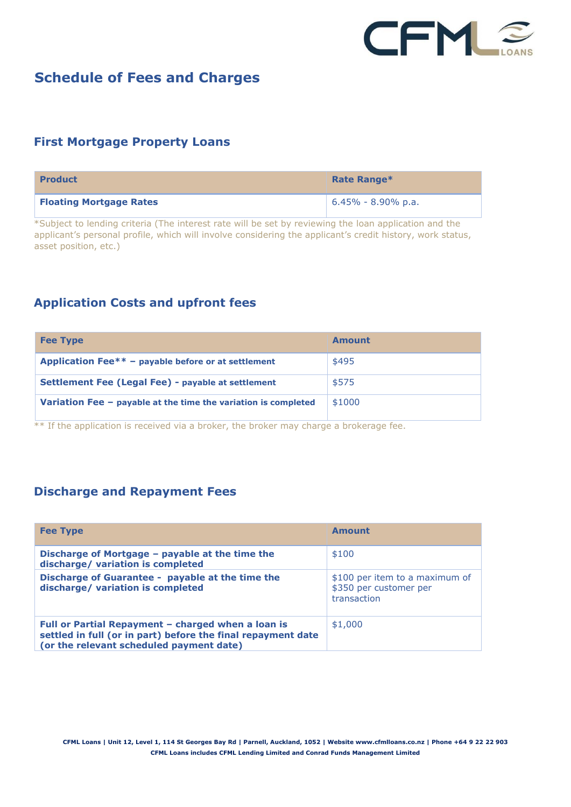

# **Schedule of Fees and Charges**

### **First Mortgage Property Loans**

| <b>Product</b>                 | Rate Range*            |
|--------------------------------|------------------------|
| <b>Floating Mortgage Rates</b> | $6.45\% - 8.90\%$ p.a. |

\*Subject to lending criteria (The interest rate will be set by reviewing the loan application and the applicant's personal profile, which will involve considering the applicant's credit history, work status, asset position, etc.)

## **Application Costs and upfront fees**

| <b>Fee Type</b>                                                  | Amount |
|------------------------------------------------------------------|--------|
| Application Fee** $-$ payable before or at settlement            | \$495  |
| Settlement Fee (Legal Fee) - payable at settlement               | \$575  |
| Variation Fee $-$ payable at the time the variation is completed | \$1000 |

 $**$  If the application is received via a broker, the broker may charge a brokerage fee.

#### **Discharge and Repayment Fees**

| <b>Fee Type</b>                                                                                                                                                | Amount                                                                  |
|----------------------------------------------------------------------------------------------------------------------------------------------------------------|-------------------------------------------------------------------------|
| Discharge of Mortgage - payable at the time the<br>discharge/ variation is completed                                                                           | \$100                                                                   |
| Discharge of Guarantee - payable at the time the<br>discharge/ variation is completed                                                                          | \$100 per item to a maximum of<br>\$350 per customer per<br>transaction |
| Full or Partial Repayment - charged when a loan is<br>settled in full (or in part) before the final repayment date<br>(or the relevant scheduled payment date) | \$1,000                                                                 |